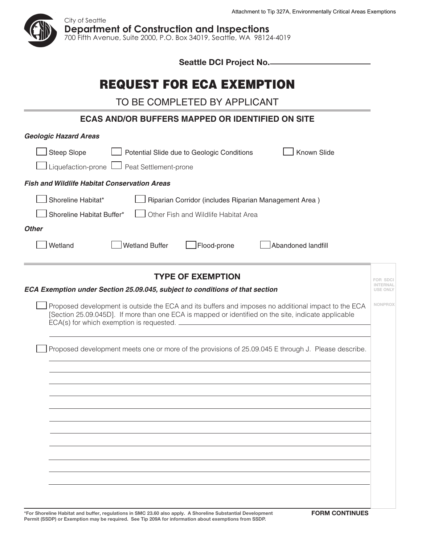

| Seattle DCI Project No.                                                                                                                                                                                                                                |                             |
|--------------------------------------------------------------------------------------------------------------------------------------------------------------------------------------------------------------------------------------------------------|-----------------------------|
| <b>REQUEST FOR ECA EXEMPTION</b>                                                                                                                                                                                                                       |                             |
| TO BE COMPLETED BY APPLICANT                                                                                                                                                                                                                           |                             |
| <b>ECAS AND/OR BUFFERS MAPPED OR IDENTIFIED ON SITE</b>                                                                                                                                                                                                |                             |
| <b>Geologic Hazard Areas</b>                                                                                                                                                                                                                           |                             |
| <b>Steep Slope</b><br><b>Known Slide</b><br>Potential Slide due to Geologic Conditions<br>Liquefaction-prone l<br>Peat Settlement-prone                                                                                                                |                             |
| <b>Fish and Wildlife Habitat Conservation Areas</b>                                                                                                                                                                                                    |                             |
| Shoreline Habitat*<br>Riparian Corridor (includes Riparian Management Area)<br>Shoreline Habitat Buffer*<br>Other Fish and Wildlife Habitat Area                                                                                                       |                             |
| <b>Other</b>                                                                                                                                                                                                                                           |                             |
| <b>Wetland Buffer</b><br>Wetland<br>Abandoned landfill<br>Flood-prone                                                                                                                                                                                  |                             |
| <b>TYPE OF EXEMPTION</b>                                                                                                                                                                                                                               |                             |
| ECA Exemption under Section 25.09.045, subject to conditions of that section                                                                                                                                                                           | INTERNAL<br><b>USE ONLY</b> |
| Proposed development is outside the ECA and its buffers and imposes no additional impact to the ECA<br>[Section 25.09.045D]. If more than one ECA is mapped or identified on the site, indicate applicable<br>ECA(s) for which exemption is requested. | <b>NONPROX</b>              |
| Proposed development meets one or more of the provisions of 25.09.045 E through J. Please describe.                                                                                                                                                    |                             |
|                                                                                                                                                                                                                                                        |                             |
|                                                                                                                                                                                                                                                        |                             |
|                                                                                                                                                                                                                                                        |                             |
|                                                                                                                                                                                                                                                        |                             |
|                                                                                                                                                                                                                                                        |                             |
|                                                                                                                                                                                                                                                        |                             |
|                                                                                                                                                                                                                                                        |                             |
|                                                                                                                                                                                                                                                        |                             |